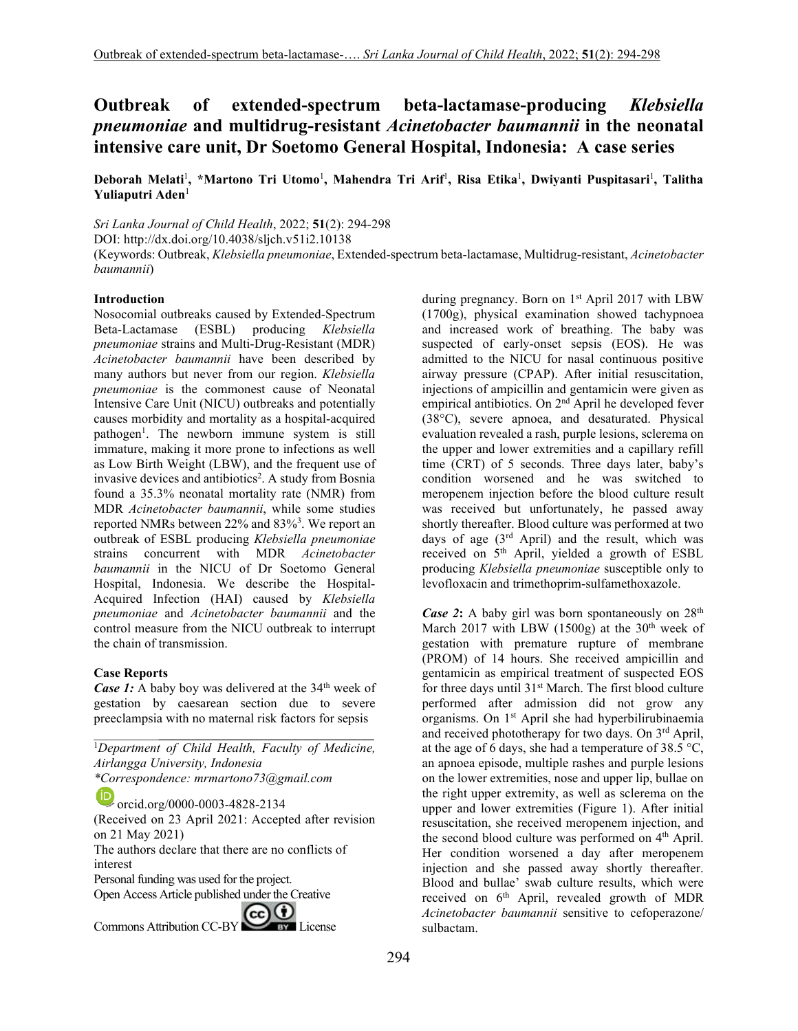# **Outbreak of extended-spectrum beta-lactamase-producing** *Klebsiella pneumoniae* **and multidrug-resistant** *Acinetobacter baumannii* **in the neonatal intensive care unit, Dr Soetomo General Hospital, Indonesia: A case series**

Deborah Melati<sup>1</sup>, \*Martono Tri Utomo<sup>1</sup>, Mahendra Tri Arif<sup>1</sup>, Risa Etika<sup>1</sup>, Dwiyanti Puspitasari<sup>1</sup>, Talitha **Yuliaputri Aden**<sup>1</sup>

*Sri Lanka Journal of Child Health*, 2022; **51**(2): 294-298

DOI: http://dx.doi.org/10.4038/sljch.v51i2.10138

(Keywords: Outbreak, *Klebsiella pneumoniae*, Extended-spectrum beta-lactamase, Multidrug-resistant, *Acinetobacter baumannii*)

#### **Introduction**

Nosocomial outbreaks caused by Extended-Spectrum Beta-Lactamase (ESBL) producing *Klebsiella pneumoniae* strains and Multi-Drug-Resistant (MDR) *Acinetobacter baumannii* have been described by many authors but never from our region. *Klebsiella pneumoniae* is the commonest cause of Neonatal Intensive Care Unit (NICU) outbreaks and potentially causes morbidity and mortality as a hospital-acquired pathogen<sup>1</sup>. The newborn immune system is still immature, making it more prone to infections as well as Low Birth Weight (LBW), and the frequent use of invasive devices and antibiotics<sup>2</sup>. A study from Bosnia found a 35.3% neonatal mortality rate (NMR) from MDR *Acinetobacter baumannii*, while some studies reported NMRs between 22% and  $83\%$ <sup>3</sup>. We report an outbreak of ESBL producing *Klebsiella pneumoniae* strains concurrent with MDR *Acinetobacter baumannii* in the NICU of Dr Soetomo General Hospital, Indonesia. We describe the Hospital-Acquired Infection (HAI) caused by *Klebsiella pneumoniae* and *Acinetobacter baumannii* and the control measure from the NICU outbreak to interrupt the chain of transmission.

## **Case Reports**

*Case 1:* A baby boy was delivered at the 34<sup>th</sup> week of gestation by caesarean section due to severe preeclampsia with no maternal risk factors for sepsis

\_\_\_\_\_\_\_\_\_\_**\_\_\_\_\_\_\_\_\_\_\_\_\_\_\_\_\_\_\_\_\_\_\_\_\_\_\_\_\_\_\_\_\_** <sup>1</sup>*Department of Child Health, Faculty of Medicine, Airlangga University, Indonesia \*Correspondence: mrmartono73@gmail.com* 

orcid.org/0000-0003-4828-2134 (Received on 23 April 2021: Accepted after revision on 21 May 2021) The authors declare that there are no conflicts of interest Personal funding was used for the project. Open Access Article published under the Creative Commons Attribution CC-BY CO BY License

during pregnancy. Born on  $1<sup>st</sup>$  April 2017 with LBW (1700g), physical examination showed tachypnoea and increased work of breathing. The baby was suspected of early-onset sepsis (EOS). He was admitted to the NICU for nasal continuous positive airway pressure (CPAP). After initial resuscitation, injections of ampicillin and gentamicin were given as empirical antibiotics. On 2<sup>nd</sup> April he developed fever (38°C), severe apnoea, and desaturated. Physical evaluation revealed a rash, purple lesions, sclerema on the upper and lower extremities and a capillary refill time (CRT) of 5 seconds. Three days later, baby's condition worsened and he was switched to meropenem injection before the blood culture result was received but unfortunately, he passed away shortly thereafter. Blood culture was performed at two days of age  $(3<sup>rd</sup>$  April) and the result, which was received on  $S<sup>th</sup>$  April, yielded a growth of ESBL producing *Klebsiella pneumoniae* susceptible only to levofloxacin and trimethoprim-sulfamethoxazole.

*Case* 2: A baby girl was born spontaneously on 28<sup>th</sup> March 2017 with LBW  $(1500g)$  at the 30<sup>th</sup> week of gestation with premature rupture of membrane (PROM) of 14 hours. She received ampicillin and gentamicin as empirical treatment of suspected EOS for three days until 31<sup>st</sup> March. The first blood culture performed after admission did not grow any organisms. On 1st April she had hyperbilirubinaemia and received phototherapy for two days. On 3rd April, at the age of 6 days, she had a temperature of  $38.5^{\circ}$ C, an apnoea episode, multiple rashes and purple lesions on the lower extremities, nose and upper lip, bullae on the right upper extremity, as well as sclerema on the upper and lower extremities (Figure 1). After initial resuscitation, she received meropenem injection, and the second blood culture was performed on 4<sup>th</sup> April. Her condition worsened a day after meropenem injection and she passed away shortly thereafter. Blood and bullae' swab culture results, which were received on 6<sup>th</sup> April, revealed growth of MDR *Acinetobacter baumannii* sensitive to cefoperazone/ sulbactam.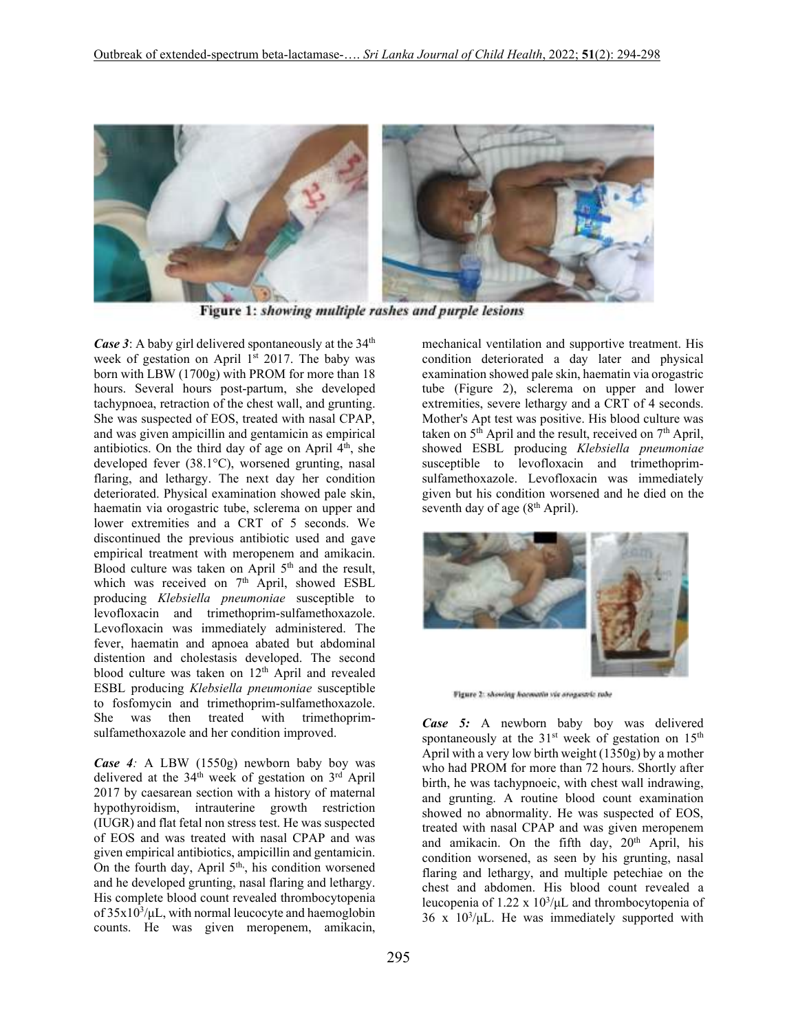

Figure 1: showing multiple rashes and purple lesions

*Case* 3: A baby girl delivered spontaneously at the 34<sup>th</sup> week of gestation on April 1<sup>st</sup> 2017. The baby was born with LBW (1700g) with PROM for more than 18 hours. Several hours post-partum, she developed tachypnoea, retraction of the chest wall, and grunting. She was suspected of EOS, treated with nasal CPAP, and was given ampicillin and gentamicin as empirical antibiotics. On the third day of age on April  $4<sup>th</sup>$ , she developed fever (38.1°C), worsened grunting, nasal flaring, and lethargy. The next day her condition deteriorated. Physical examination showed pale skin, haematin via orogastric tube, sclerema on upper and lower extremities and a CRT of 5 seconds. We discontinued the previous antibiotic used and gave empirical treatment with meropenem and amikacin. Blood culture was taken on April 5<sup>th</sup> and the result, which was received on  $7<sup>th</sup>$  April, showed ESBL producing *Klebsiella pneumoniae* susceptible to levofloxacin and trimethoprim-sulfamethoxazole. Levofloxacin was immediately administered. The fever, haematin and apnoea abated but abdominal distention and cholestasis developed. The second blood culture was taken on 12<sup>th</sup> April and revealed ESBL producing *Klebsiella pneumoniae* susceptible to fosfomycin and trimethoprim-sulfamethoxazole. She was then treated with trimethoprimsulfamethoxazole and her condition improved.

*Case 4:* A LBW (1550g) newborn baby boy was delivered at the 34<sup>th</sup> week of gestation on 3<sup>rd</sup> April 2017 by caesarean section with a history of maternal hypothyroidism, intrauterine growth restriction (IUGR) and flat fetal non stress test. He was suspected of EOS and was treated with nasal CPAP and was given empirical antibiotics, ampicillin and gentamicin. On the fourth day, April 5<sup>th</sup>, his condition worsened and he developed grunting, nasal flaring and lethargy. His complete blood count revealed thrombocytopenia of  $35x10^3/\mu L$ , with normal leucocyte and haemoglobin counts. He was given meropenem, amikacin,

mechanical ventilation and supportive treatment. His condition deteriorated a day later and physical examination showed pale skin, haematin via orogastric tube (Figure 2), sclerema on upper and lower extremities, severe lethargy and a CRT of 4 seconds. Mother's Apt test was positive. His blood culture was taken on  $5<sup>th</sup>$  April and the result, received on  $7<sup>th</sup>$  April, showed ESBL producing *Klebsiella pneumoniae* susceptible to levofloxacin and trimethoprimsulfamethoxazole. Levofloxacin was immediately given but his condition worsened and he died on the seventh day of age (8<sup>th</sup> April).



Figure 2: showing hocevatin via oroganitic tube

*Case 5:* A newborn baby boy was delivered spontaneously at the  $31<sup>st</sup>$  week of gestation on  $15<sup>th</sup>$ April with a very low birth weight (1350g) by a mother who had PROM for more than 72 hours. Shortly after birth, he was tachypnoeic, with chest wall indrawing, and grunting. A routine blood count examination showed no abnormality. He was suspected of EOS, treated with nasal CPAP and was given meropenem and amikacin. On the fifth day, 20<sup>th</sup> April, his condition worsened, as seen by his grunting, nasal flaring and lethargy, and multiple petechiae on the chest and abdomen. His blood count revealed a leucopenia of  $1.22 \times 10^3/\mu$ L and thrombocytopenia of  $36 \times 10^3/\mu$ L. He was immediately supported with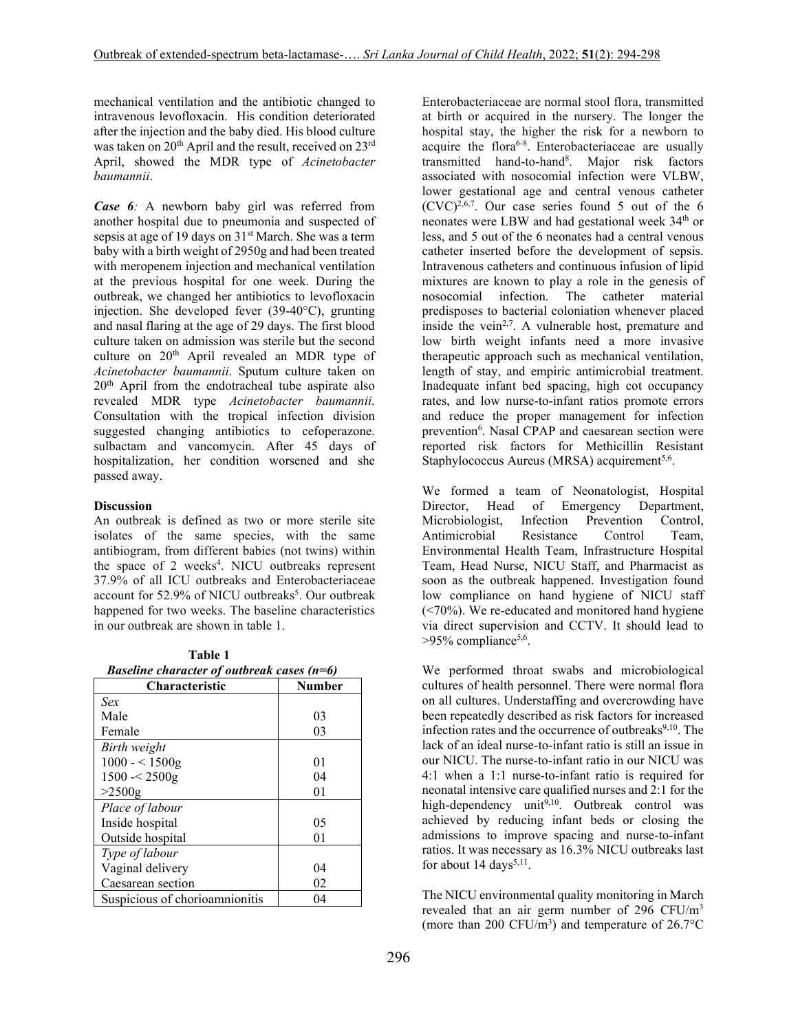mechanical ventilation and the antibiotic changed to intravenous levofloxacin. His condition deteriorated after the injection and the baby died. His blood culture was taken on 20<sup>th</sup> April and the result, received on 23<sup>rd</sup> April, showed the MDR type of *Acinetobacter baumannii*.

*Case 6:* A newborn baby girl was referred from another hospital due to pneumonia and suspected of sepsis at age of 19 days on 31<sup>st</sup> March. She was a term baby with a birth weight of 2950g and had been treated with meropenem injection and mechanical ventilation at the previous hospital for one week. During the outbreak, we changed her antibiotics to levofloxacin injection. She developed fever (39-40°C), grunting and nasal flaring at the age of 29 days. The first blood culture taken on admission was sterile but the second culture on 20<sup>th</sup> April revealed an MDR type of *Acinetobacter baumannii*. Sputum culture taken on 20th April from the endotracheal tube aspirate also revealed MDR type *Acinetobacter baumannii*. Consultation with the tropical infection division suggested changing antibiotics to cefoperazone. sulbactam and vancomycin. After 45 days of hospitalization, her condition worsened and she passed away.

## **Discussion**

An outbreak is defined as two or more sterile site isolates of the same species, with the same antibiogram, from different babies (not twins) within the space of 2 weeks<sup>4</sup>. NICU outbreaks represent 37.9% of all ICU outbreaks and Enterobacteriaceae account for 52.9% of NICU outbreaks<sup>5</sup>. Our outbreak happened for two weeks. The baseline characteristics in our outbreak are shown in table 1.

 **Table 1**   *Baseline character of outbreak cases (n=6)*

| <b>Characteristic</b>          | <b>Number</b> |
|--------------------------------|---------------|
| Sex                            |               |
| Male                           | 03            |
| Female                         | 03            |
| Birth weight                   |               |
| $1000 - 1500g$                 | 01            |
| 1500 < 2500g                   | 04            |
| $>2500$ g                      | 01            |
| Place of labour                |               |
| Inside hospital                | 05            |
| Outside hospital               | 01            |
| <i>Type of labour</i>          |               |
| Vaginal delivery               | 04            |
| Caesarean section              | 02            |
| Suspicious of chorioamnionitis | 04            |

Enterobacteriaceae are normal stool flora, transmitted at birth or acquired in the nursery. The longer the hospital stay, the higher the risk for a newborn to acquire the flora<sup>6-8</sup>. Enterobacteriaceae are usually transmitted hand-to-hand<sup>8</sup>. Major risk factors associated with nosocomial infection were VLBW, lower gestational age and central venous catheter  $(CVC)^{2,6,7}$ . Our case series found 5 out of the 6 neonates were LBW and had gestational week 34<sup>th</sup> or less, and 5 out of the 6 neonates had a central venous catheter inserted before the development of sepsis. Intravenous catheters and continuous infusion of lipid mixtures are known to play a role in the genesis of nosocomial infection. The catheter material predisposes to bacterial coloniation whenever placed inside the vein<sup>2,7</sup>. A vulnerable host, premature and low birth weight infants need a more invasive therapeutic approach such as mechanical ventilation, length of stay, and empiric antimicrobial treatment. Inadequate infant bed spacing, high cot occupancy rates, and low nurse-to-infant ratios promote errors and reduce the proper management for infection prevention<sup>6</sup>. Nasal CPAP and caesarean section were reported risk factors for Methicillin Resistant Staphylococcus Aureus (MRSA) acquirement<sup>5,6</sup>.

We formed a team of Neonatologist, Hospital Director, Head of Emergency Department, Microbiologist, Infection Prevention Control, Antimicrobial Resistance Control Team, Environmental Health Team, Infrastructure Hospital Team, Head Nurse, NICU Staff, and Pharmacist as soon as the outbreak happened. Investigation found low compliance on hand hygiene of NICU staff (<70%). We re-educated and monitored hand hygiene via direct supervision and CCTV. It should lead to >95% compliance<sup>5,6</sup>.

We performed throat swabs and microbiological cultures of health personnel. There were normal flora on all cultures. Understaffing and overcrowding have been repeatedly described as risk factors for increased infection rates and the occurrence of outbreaks $9,10$ . The lack of an ideal nurse-to-infant ratio is still an issue in our NICU. The nurse-to-infant ratio in our NICU was 4:1 when a 1:1 nurse-to-infant ratio is required for neonatal intensive care qualified nurses and 2:1 for the high-dependency unit<sup>9,10</sup>. Outbreak control was achieved by reducing infant beds or closing the admissions to improve spacing and nurse-to-infant ratios. It was necessary as 16.3% NICU outbreaks last for about 14 days<sup>5,11</sup>.

The NICU environmental quality monitoring in March revealed that an air germ number of 296 CFU/m<sup>3</sup> (more than 200 CFU/ $m<sup>3</sup>$ ) and temperature of 26.7 $\rm ^{\circ}C$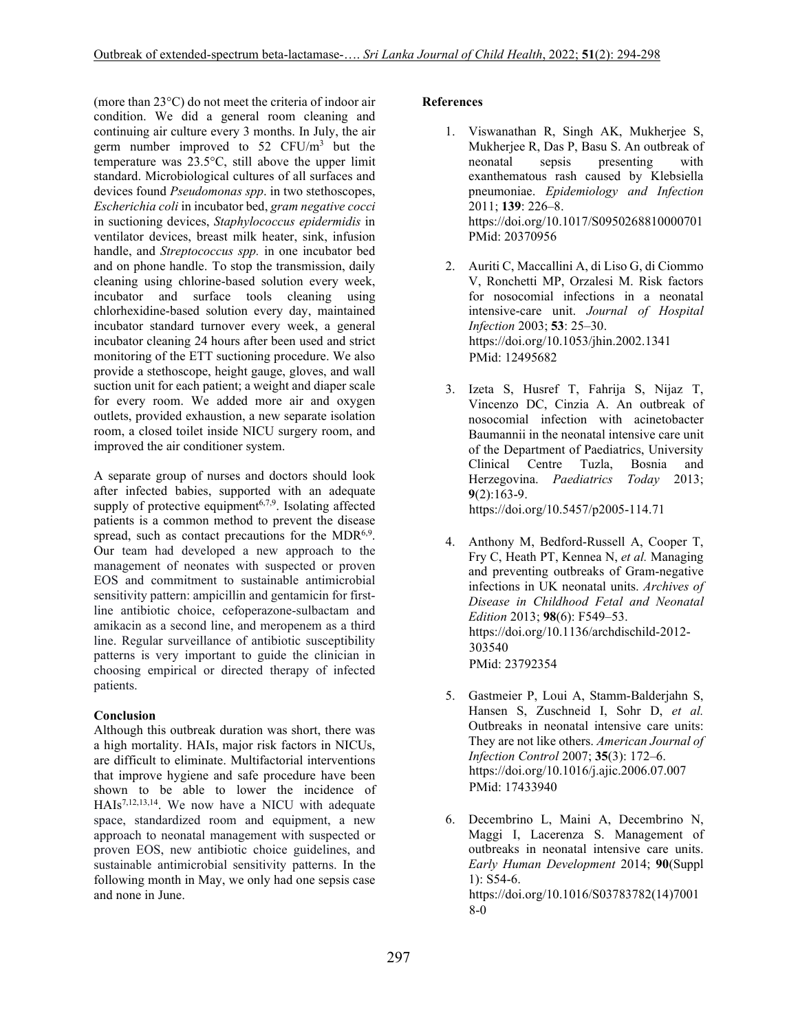(more than 23°C) do not meet the criteria of indoor air condition. We did a general room cleaning and continuing air culture every 3 months. In July, the air germ number improved to  $52$  CFU/m<sup>3</sup> but the temperature was 23.5°C, still above the upper limit standard. Microbiological cultures of all surfaces and devices found *Pseudomonas spp*. in two stethoscopes, *Escherichia coli* in incubator bed, *gram negative cocci* in suctioning devices, *Staphylococcus epidermidis* in ventilator devices, breast milk heater, sink, infusion handle, and *Streptococcus spp.* in one incubator bed and on phone handle. To stop the transmission, daily cleaning using chlorine-based solution every week, incubator and surface tools cleaning using chlorhexidine-based solution every day, maintained incubator standard turnover every week, a general incubator cleaning 24 hours after been used and strict monitoring of the ETT suctioning procedure. We also provide a stethoscope, height gauge, gloves, and wall suction unit for each patient; a weight and diaper scale for every room. We added more air and oxygen outlets, provided exhaustion, a new separate isolation room, a closed toilet inside NICU surgery room, and improved the air conditioner system.

A separate group of nurses and doctors should look after infected babies, supported with an adequate supply of protective equipment<sup> $6,7,9$ </sup>. Isolating affected patients is a common method to prevent the disease spread, such as contact precautions for the MDR $6.9$ . Our team had developed a new approach to the management of neonates with suspected or proven EOS and commitment to sustainable antimicrobial sensitivity pattern: ampicillin and gentamicin for firstline antibiotic choice, cefoperazone-sulbactam and amikacin as a second line, and meropenem as a third line. Regular surveillance of antibiotic susceptibility patterns is very important to guide the clinician in choosing empirical or directed therapy of infected patients.

#### **Conclusion**

Although this outbreak duration was short, there was a high mortality. HAIs, major risk factors in NICUs, are difficult to eliminate. Multifactorial interventions that improve hygiene and safe procedure have been shown to be able to lower the incidence of HAIs<sup>7,12,13,14</sup>. We now have a NICU with adequate space, standardized room and equipment, a new approach to neonatal management with suspected or proven EOS, new antibiotic choice guidelines, and sustainable antimicrobial sensitivity patterns. In the following month in May, we only had one sepsis case and none in June.

### **References**

- 1. Viswanathan R, Singh AK, Mukherjee S, Mukherjee R, Das P, Basu S. An outbreak of neonatal sepsis presenting with exanthematous rash caused by Klebsiella pneumoniae. *Epidemiology and Infection* 2011; **139**: 226–8. https://doi.org/10.1017/S0950268810000701 PMid: 20370956
- 2. Auriti C, Maccallini A, di Liso G, di Ciommo V, Ronchetti MP, Orzalesi M. Risk factors for nosocomial infections in a neonatal intensive-care unit. *Journal of Hospital Infection* 2003; **53**: 25–30. https://doi.org/10.1053/jhin.2002.1341 PMid: 12495682
- 3. Izeta S, Husref T, Fahrija S, Nijaz T, Vincenzo DC, Cinzia A. An outbreak of nosocomial infection with acinetobacter Baumannii in the neonatal intensive care unit of the Department of Paediatrics, University Clinical Centre Tuzla, Bosnia and Herzegovina. *Paediatrics Today* 2013; **9**(2):163-9. https://doi.org/10.5457/p2005-114.71
- 4. Anthony M, Bedford-Russell A, Cooper T, Fry C, Heath PT, Kennea N, *et al.* Managing and preventing outbreaks of Gram-negative infections in UK neonatal units. *Archives of Disease in Childhood Fetal and Neonatal Edition* 2013; **98**(6): F549–53. https://doi.org/10.1136/archdischild-2012- 303540 PMid: 23792354
- 5. Gastmeier P, Loui A, Stamm-Balderjahn S, Hansen S, Zuschneid I, Sohr D, *et al.* Outbreaks in neonatal intensive care units: They are not like others. *American Journal of Infection Control* 2007; **35**(3): 172–6. https://doi.org/10.1016/j.ajic.2006.07.007 PMid: 17433940
- 6. Decembrino L, Maini A, Decembrino N, Maggi I, Lacerenza S. Management of outbreaks in neonatal intensive care units. *Early Human Development* 2014; **90**(Suppl 1): S54-6. https://doi.org/10.1016/S03783782(14)7001 8-0